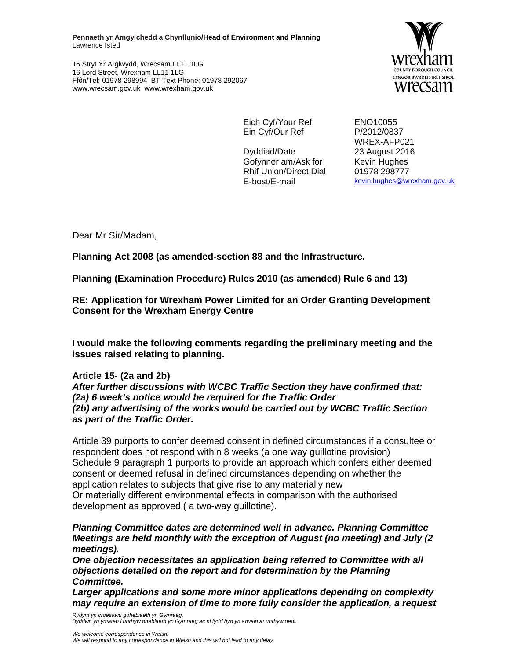**Pennaeth yr Amgylchedd a Chynllunio/Head of Environment and Planning**  Lawrence Isted

16 Stryt Yr Arglwydd, Wrecsam LL11 1LG 16 Lord Street, Wrexham LL11 1LG Ffôn/Tel: 01978 298994 BT Text Phone: 01978 292067 www.wrecsam.gov.uk www.wrexham.gov.uk



Eich Cyf/Your Ref ENO10055 Ein Cyf/Our Ref P/2012/0837

Dyddiad/Date 23 August 2016 Gofynner am/Ask for Kevin Hughes Rhif Union/Direct Dial E-bost/E-mail

WREX-AFP021 01978 298777 kevin.hughes@wrexham.gov.uk

Dear Mr Sir/Madam,

**Planning Act 2008 (as amended-section 88 and the Infrastructure.** 

**Planning (Examination Procedure) Rules 2010 (as amended) Rule 6 and 13)** 

**RE: Application for Wrexham Power Limited for an Order Granting Development Consent for the Wrexham Energy Centre** 

**I would make the following comments regarding the preliminary meeting and the issues raised relating to planning.** 

## **Article 15- (2a and 2b)**

**After further discussions with WCBC Traffic Section they have confirmed that: (2a) 6 week's notice would be required for the Traffic Order (2b) any advertising of the works would be carried out by WCBC Traffic Section as part of the Traffic Order.** 

Article 39 purports to confer deemed consent in defined circumstances if a consultee or respondent does not respond within 8 weeks (a one way guillotine provision) Schedule 9 paragraph 1 purports to provide an approach which confers either deemed consent or deemed refusal in defined circumstances depending on whether the application relates to subjects that give rise to any materially new Or materially different environmental effects in comparison with the authorised development as approved ( a two-way guillotine).

**Planning Committee dates are determined well in advance. Planning Committee Meetings are held monthly with the exception of August (no meeting) and July (2 meetings).** 

**One objection necessitates an application being referred to Committee with all objections detailed on the report and for determination by the Planning Committee.** 

**Larger applications and some more minor applications depending on complexity may require an extension of time to more fully consider the application, a request** 

Rydym yn croesawu gohebiaeth yn Gymraeg. Byddwn yn ymateb i unrhyw ohebiaeth yn Gymraeg ac ni fydd hyn yn arwain at unrhyw oedi.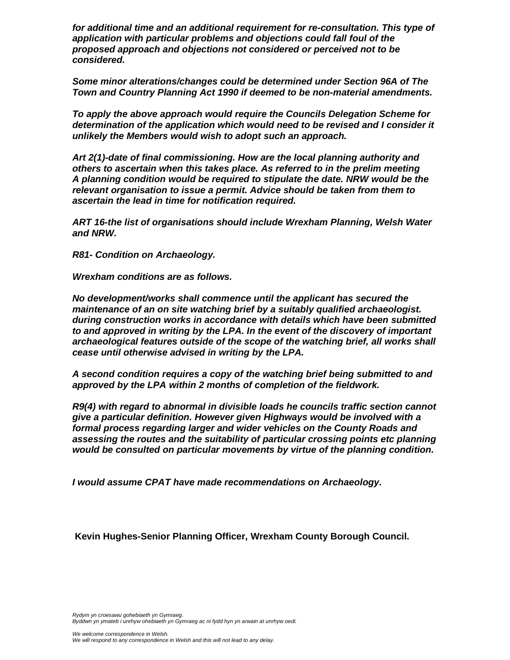**for additional time and an additional requirement for re-consultation. This type of application with particular problems and objections could fall foul of the proposed approach and objections not considered or perceived not to be considered.** 

**Some minor alterations/changes could be determined under Section 96A of The Town and Country Planning Act 1990 if deemed to be non-material amendments.** 

**To apply the above approach would require the Councils Delegation Scheme for determination of the application which would need to be revised and I consider it unlikely the Members would wish to adopt such an approach.** 

**Art 2(1)-date of final commissioning. How are the local planning authority and others to ascertain when this takes place. As referred to in the prelim meeting A planning condition would be required to stipulate the date. NRW would be the relevant organisation to issue a permit. Advice should be taken from them to ascertain the lead in time for notification required.** 

**ART 16-the list of organisations should include Wrexham Planning, Welsh Water and NRW.** 

**R81- Condition on Archaeology.** 

**Wrexham conditions are as follows.** 

**No development/works shall commence until the applicant has secured the maintenance of an on site watching brief by a suitably qualified archaeologist. during construction works in accordance with details which have been submitted to and approved in writing by the LPA. In the event of the discovery of important archaeological features outside of the scope of the watching brief, all works shall cease until otherwise advised in writing by the LPA.** 

**A second condition requires a copy of the watching brief being submitted to and approved by the LPA within 2 months of completion of the fieldwork.** 

**R9(4) with regard to abnormal in divisible loads he councils traffic section cannot give a particular definition. However given Highways would be involved with a formal process regarding larger and wider vehicles on the County Roads and assessing the routes and the suitability of particular crossing points etc planning would be consulted on particular movements by virtue of the planning condition.** 

**I would assume CPAT have made recommendations on Archaeology.** 

 **Kevin Hughes-Senior Planning Officer, Wrexham County Borough Council.**